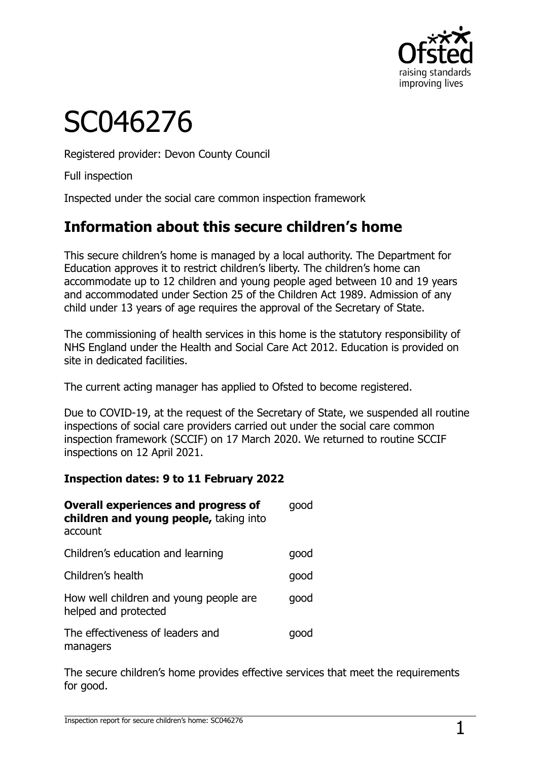

# SC046276

Registered provider: Devon County Council

Full inspection

Inspected under the social care common inspection framework

## **Information about this secure children's home**

This secure children's home is managed by a local authority. The Department for Education approves it to restrict children's liberty. The children's home can accommodate up to 12 children and young people aged between 10 and 19 years and accommodated under Section 25 of the Children Act 1989. Admission of any child under 13 years of age requires the approval of the Secretary of State.

The commissioning of health services in this home is the statutory responsibility of NHS England under the Health and Social Care Act 2012. Education is provided on site in dedicated facilities.

The current acting manager has applied to Ofsted to become registered.

Due to COVID-19, at the request of the Secretary of State, we suspended all routine inspections of social care providers carried out under the social care common inspection framework (SCCIF) on 17 March 2020. We returned to routine SCCIF inspections on 12 April 2021.

#### **Inspection dates: 9 to 11 February 2022**

| <b>Overall experiences and progress of</b><br>children and young people, taking into<br>account | dood |
|-------------------------------------------------------------------------------------------------|------|
| Children's education and learning                                                               | qood |
| Children's health                                                                               | qood |
| How well children and young people are<br>helped and protected                                  | qood |
| The effectiveness of leaders and<br>managers                                                    |      |

The secure children's home provides effective services that meet the requirements for good.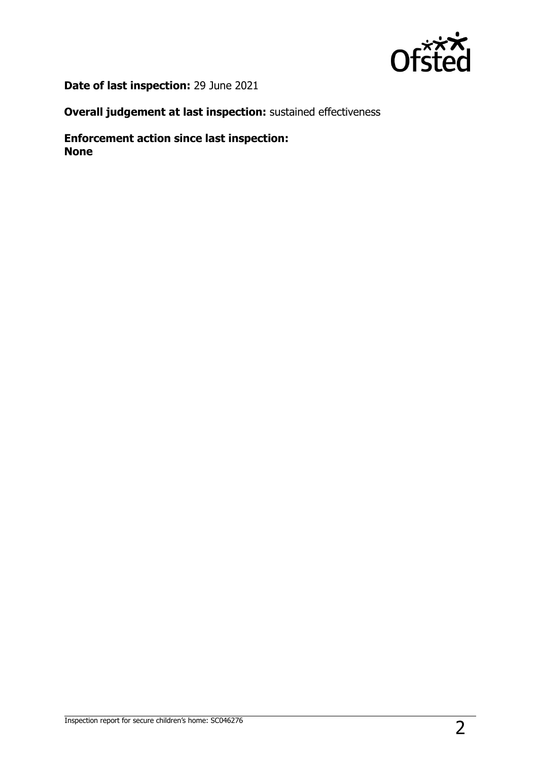

**Date of last inspection:** 29 June 2021

**Overall judgement at last inspection:** sustained effectiveness

**Enforcement action since last inspection: None**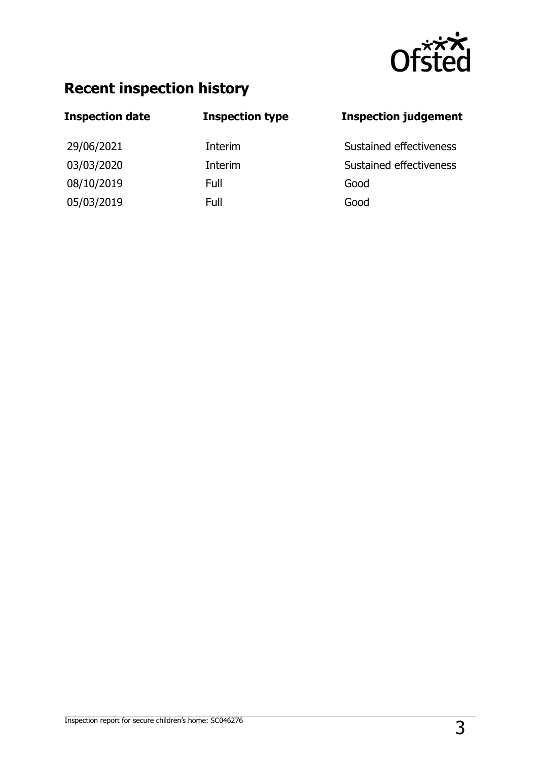

## **Recent inspection history**

# **Inspection date Inspection type Inspection judgement** 29/06/2021 Interim Sustained effectiveness 03/03/2020 Interim Sustained effectiveness 08/10/2019 Full Good 05/03/2019 Full Good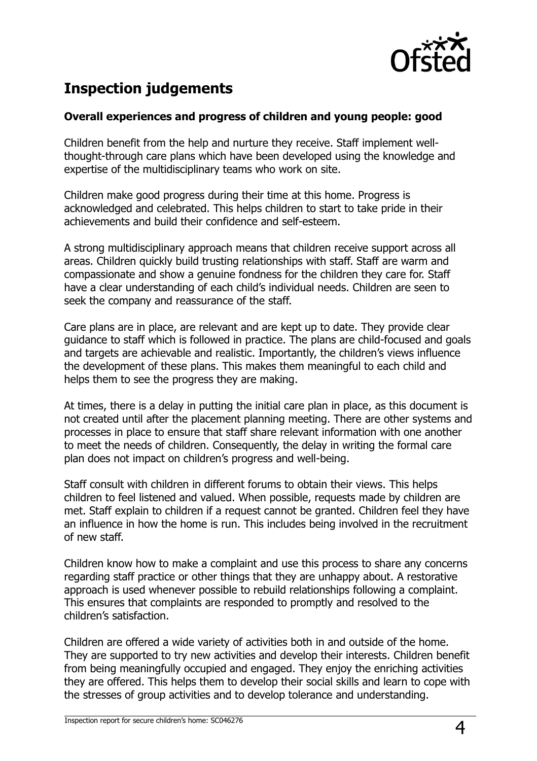

## **Inspection judgements**

#### **Overall experiences and progress of children and young people: good**

Children benefit from the help and nurture they receive. Staff implement wellthought-through care plans which have been developed using the knowledge and expertise of the multidisciplinary teams who work on site.

Children make good progress during their time at this home. Progress is acknowledged and celebrated. This helps children to start to take pride in their achievements and build their confidence and self-esteem.

A strong multidisciplinary approach means that children receive support across all areas. Children quickly build trusting relationships with staff. Staff are warm and compassionate and show a genuine fondness for the children they care for. Staff have a clear understanding of each child's individual needs. Children are seen to seek the company and reassurance of the staff.

Care plans are in place, are relevant and are kept up to date. They provide clear guidance to staff which is followed in practice. The plans are child-focused and goals and targets are achievable and realistic. Importantly, the children's views influence the development of these plans. This makes them meaningful to each child and helps them to see the progress they are making.

At times, there is a delay in putting the initial care plan in place, as this document is not created until after the placement planning meeting. There are other systems and processes in place to ensure that staff share relevant information with one another to meet the needs of children. Consequently, the delay in writing the formal care plan does not impact on children's progress and well-being.

Staff consult with children in different forums to obtain their views. This helps children to feel listened and valued. When possible, requests made by children are met. Staff explain to children if a request cannot be granted. Children feel they have an influence in how the home is run. This includes being involved in the recruitment of new staff.

Children know how to make a complaint and use this process to share any concerns regarding staff practice or other things that they are unhappy about. A restorative approach is used whenever possible to rebuild relationships following a complaint. This ensures that complaints are responded to promptly and resolved to the children's satisfaction.

Children are offered a wide variety of activities both in and outside of the home. They are supported to try new activities and develop their interests. Children benefit from being meaningfully occupied and engaged. They enjoy the enriching activities they are offered. This helps them to develop their social skills and learn to cope with the stresses of group activities and to develop tolerance and understanding.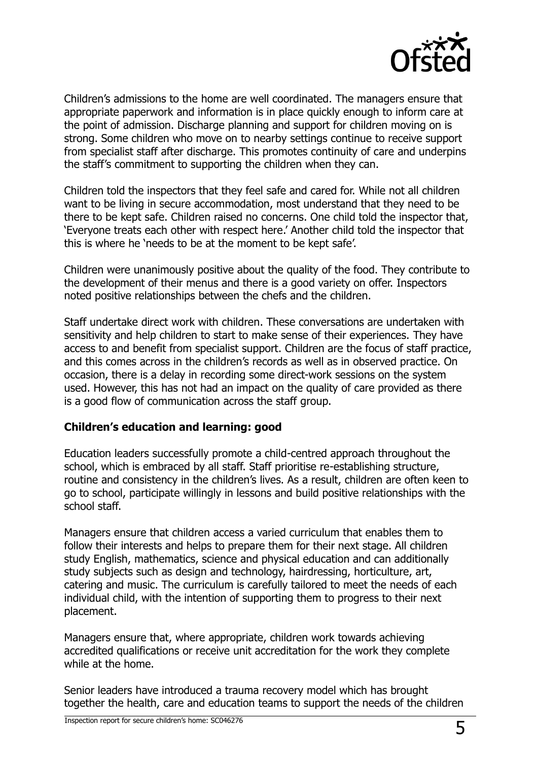

Children's admissions to the home are well coordinated. The managers ensure that appropriate paperwork and information is in place quickly enough to inform care at the point of admission. Discharge planning and support for children moving on is strong. Some children who move on to nearby settings continue to receive support from specialist staff after discharge. This promotes continuity of care and underpins the staff's commitment to supporting the children when they can.

Children told the inspectors that they feel safe and cared for. While not all children want to be living in secure accommodation, most understand that they need to be there to be kept safe. Children raised no concerns. One child told the inspector that, 'Everyone treats each other with respect here.' Another child told the inspector that this is where he 'needs to be at the moment to be kept safe'.

Children were unanimously positive about the quality of the food. They contribute to the development of their menus and there is a good variety on offer. Inspectors noted positive relationships between the chefs and the children.

Staff undertake direct work with children. These conversations are undertaken with sensitivity and help children to start to make sense of their experiences. They have access to and benefit from specialist support. Children are the focus of staff practice, and this comes across in the children's records as well as in observed practice. On occasion, there is a delay in recording some direct-work sessions on the system used. However, this has not had an impact on the quality of care provided as there is a good flow of communication across the staff group.

#### **Children's education and learning: good**

Education leaders successfully promote a child-centred approach throughout the school, which is embraced by all staff. Staff prioritise re-establishing structure, routine and consistency in the children's lives. As a result, children are often keen to go to school, participate willingly in lessons and build positive relationships with the school staff.

Managers ensure that children access a varied curriculum that enables them to follow their interests and helps to prepare them for their next stage. All children study English, mathematics, science and physical education and can additionally study subjects such as design and technology, hairdressing, horticulture, art, catering and music. The curriculum is carefully tailored to meet the needs of each individual child, with the intention of supporting them to progress to their next placement.

Managers ensure that, where appropriate, children work towards achieving accredited qualifications or receive unit accreditation for the work they complete while at the home.

Senior leaders have introduced a trauma recovery model which has brought together the health, care and education teams to support the needs of the children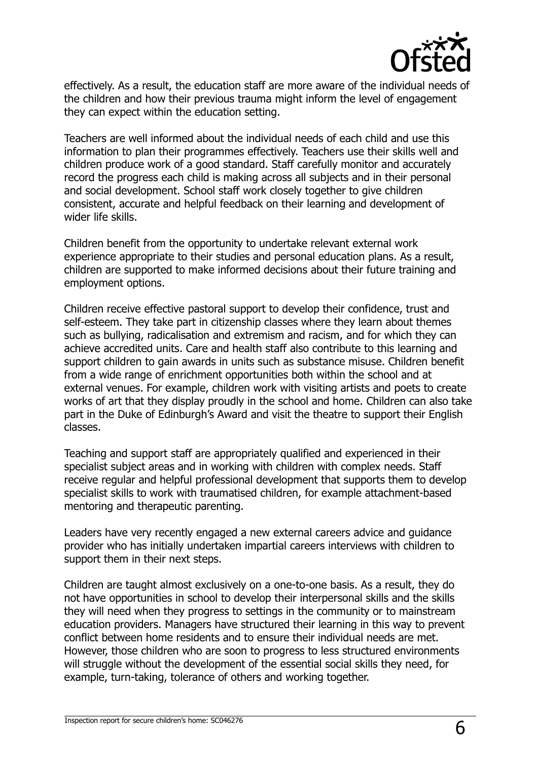

effectively. As a result, the education staff are more aware of the individual needs of the children and how their previous trauma might inform the level of engagement they can expect within the education setting.

Teachers are well informed about the individual needs of each child and use this information to plan their programmes effectively. Teachers use their skills well and children produce work of a good standard. Staff carefully monitor and accurately record the progress each child is making across all subjects and in their personal and social development. School staff work closely together to give children consistent, accurate and helpful feedback on their learning and development of wider life skills.

Children benefit from the opportunity to undertake relevant external work experience appropriate to their studies and personal education plans. As a result, children are supported to make informed decisions about their future training and employment options.

Children receive effective pastoral support to develop their confidence, trust and self-esteem. They take part in citizenship classes where they learn about themes such as bullying, radicalisation and extremism and racism, and for which they can achieve accredited units. Care and health staff also contribute to this learning and support children to gain awards in units such as substance misuse. Children benefit from a wide range of enrichment opportunities both within the school and at external venues. For example, children work with visiting artists and poets to create works of art that they display proudly in the school and home. Children can also take part in the Duke of Edinburgh's Award and visit the theatre to support their English classes.

Teaching and support staff are appropriately qualified and experienced in their specialist subject areas and in working with children with complex needs. Staff receive regular and helpful professional development that supports them to develop specialist skills to work with traumatised children, for example attachment-based mentoring and therapeutic parenting.

Leaders have very recently engaged a new external careers advice and guidance provider who has initially undertaken impartial careers interviews with children to support them in their next steps.

Children are taught almost exclusively on a one-to-one basis. As a result, they do not have opportunities in school to develop their interpersonal skills and the skills they will need when they progress to settings in the community or to mainstream education providers. Managers have structured their learning in this way to prevent conflict between home residents and to ensure their individual needs are met. However, those children who are soon to progress to less structured environments will struggle without the development of the essential social skills they need, for example, turn-taking, tolerance of others and working together.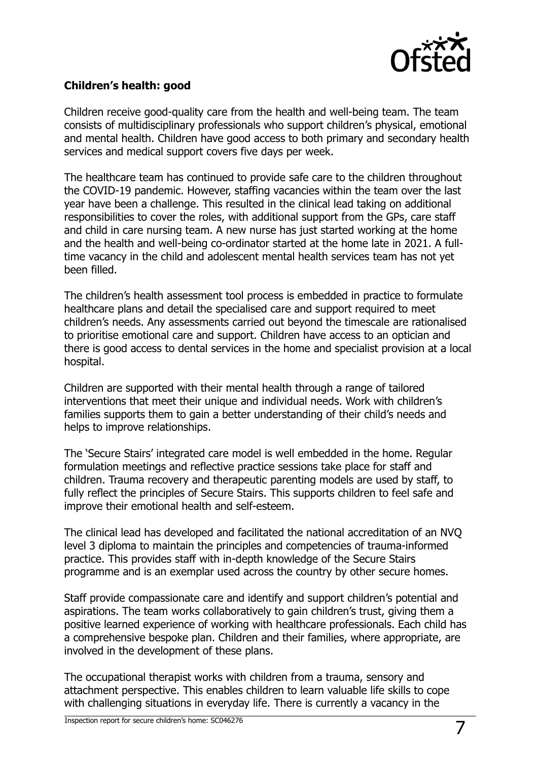

#### **Children's health: good**

Children receive good-quality care from the health and well-being team. The team consists of multidisciplinary professionals who support children's physical, emotional and mental health. Children have good access to both primary and secondary health services and medical support covers five days per week.

The healthcare team has continued to provide safe care to the children throughout the COVID-19 pandemic. However, staffing vacancies within the team over the last year have been a challenge. This resulted in the clinical lead taking on additional responsibilities to cover the roles, with additional support from the GPs, care staff and child in care nursing team. A new nurse has just started working at the home and the health and well-being co-ordinator started at the home late in 2021. A fulltime vacancy in the child and adolescent mental health services team has not yet been filled.

The children's health assessment tool process is embedded in practice to formulate healthcare plans and detail the specialised care and support required to meet children's needs. Any assessments carried out beyond the timescale are rationalised to prioritise emotional care and support. Children have access to an optician and there is good access to dental services in the home and specialist provision at a local hospital.

Children are supported with their mental health through a range of tailored interventions that meet their unique and individual needs. Work with children's families supports them to gain a better understanding of their child's needs and helps to improve relationships.

The 'Secure Stairs' integrated care model is well embedded in the home. Regular formulation meetings and reflective practice sessions take place for staff and children. Trauma recovery and therapeutic parenting models are used by staff, to fully reflect the principles of Secure Stairs. This supports children to feel safe and improve their emotional health and self-esteem.

The clinical lead has developed and facilitated the national accreditation of an NVQ level 3 diploma to maintain the principles and competencies of trauma-informed practice. This provides staff with in-depth knowledge of the Secure Stairs programme and is an exemplar used across the country by other secure homes.

Staff provide compassionate care and identify and support children's potential and aspirations. The team works collaboratively to gain children's trust, giving them a positive learned experience of working with healthcare professionals. Each child has a comprehensive bespoke plan. Children and their families, where appropriate, are involved in the development of these plans.

The occupational therapist works with children from a trauma, sensory and attachment perspective. This enables children to learn valuable life skills to cope with challenging situations in everyday life. There is currently a vacancy in the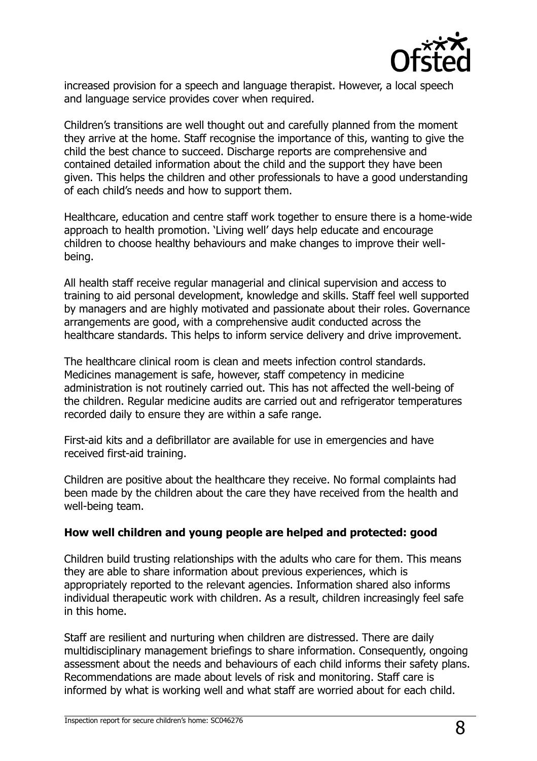

increased provision for a speech and language therapist. However, a local speech and language service provides cover when required.

Children's transitions are well thought out and carefully planned from the moment they arrive at the home. Staff recognise the importance of this, wanting to give the child the best chance to succeed. Discharge reports are comprehensive and contained detailed information about the child and the support they have been given. This helps the children and other professionals to have a good understanding of each child's needs and how to support them.

Healthcare, education and centre staff work together to ensure there is a home-wide approach to health promotion. 'Living well' days help educate and encourage children to choose healthy behaviours and make changes to improve their wellbeing.

All health staff receive regular managerial and clinical supervision and access to training to aid personal development, knowledge and skills. Staff feel well supported by managers and are highly motivated and passionate about their roles. Governance arrangements are good, with a comprehensive audit conducted across the healthcare standards. This helps to inform service delivery and drive improvement.

The healthcare clinical room is clean and meets infection control standards. Medicines management is safe, however, staff competency in medicine administration is not routinely carried out. This has not affected the well-being of the children. Regular medicine audits are carried out and refrigerator temperatures recorded daily to ensure they are within a safe range.

First-aid kits and a defibrillator are available for use in emergencies and have received first-aid training.

Children are positive about the healthcare they receive. No formal complaints had been made by the children about the care they have received from the health and well-being team.

#### **How well children and young people are helped and protected: good**

Children build trusting relationships with the adults who care for them. This means they are able to share information about previous experiences, which is appropriately reported to the relevant agencies. Information shared also informs individual therapeutic work with children. As a result, children increasingly feel safe in this home.

Staff are resilient and nurturing when children are distressed. There are daily multidisciplinary management briefings to share information. Consequently, ongoing assessment about the needs and behaviours of each child informs their safety plans. Recommendations are made about levels of risk and monitoring. Staff care is informed by what is working well and what staff are worried about for each child.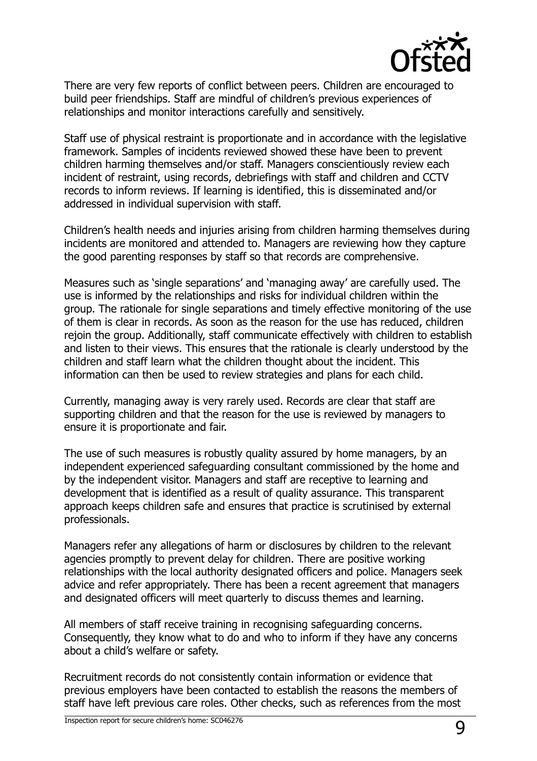

There are very few reports of conflict between peers. Children are encouraged to build peer friendships. Staff are mindful of children's previous experiences of relationships and monitor interactions carefully and sensitively.

Staff use of physical restraint is proportionate and in accordance with the legislative framework. Samples of incidents reviewed showed these have been to prevent children harming themselves and/or staff. Managers conscientiously review each incident of restraint, using records, debriefings with staff and children and CCTV records to inform reviews. If learning is identified, this is disseminated and/or addressed in individual supervision with staff.

Children's health needs and injuries arising from children harming themselves during incidents are monitored and attended to. Managers are reviewing how they capture the good parenting responses by staff so that records are comprehensive.

Measures such as 'single separations' and 'managing away' are carefully used. The use is informed by the relationships and risks for individual children within the group. The rationale for single separations and timely effective monitoring of the use of them is clear in records. As soon as the reason for the use has reduced, children rejoin the group. Additionally, staff communicate effectively with children to establish and listen to their views. This ensures that the rationale is clearly understood by the children and staff learn what the children thought about the incident. This information can then be used to review strategies and plans for each child.

Currently, managing away is very rarely used. Records are clear that staff are supporting children and that the reason for the use is reviewed by managers to ensure it is proportionate and fair.

The use of such measures is robustly quality assured by home managers, by an independent experienced safeguarding consultant commissioned by the home and by the independent visitor. Managers and staff are receptive to learning and development that is identified as a result of quality assurance. This transparent approach keeps children safe and ensures that practice is scrutinised by external professionals.

Managers refer any allegations of harm or disclosures by children to the relevant agencies promptly to prevent delay for children. There are positive working relationships with the local authority designated officers and police. Managers seek advice and refer appropriately. There has been a recent agreement that managers and designated officers will meet quarterly to discuss themes and learning.

All members of staff receive training in recognising safeguarding concerns. Consequently, they know what to do and who to inform if they have any concerns about a child's welfare or safety.

Recruitment records do not consistently contain information or evidence that previous employers have been contacted to establish the reasons the members of staff have left previous care roles. Other checks, such as references from the most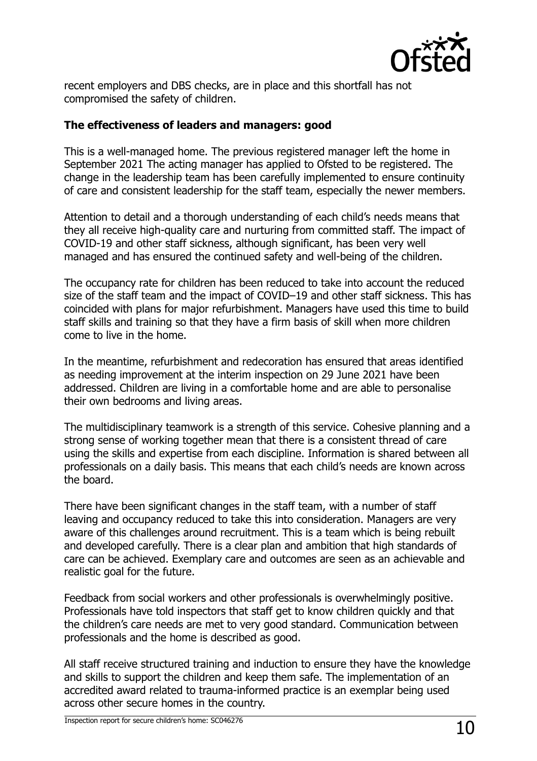

recent employers and DBS checks, are in place and this shortfall has not compromised the safety of children.

#### **The effectiveness of leaders and managers: good**

This is a well-managed home. The previous registered manager left the home in September 2021 The acting manager has applied to Ofsted to be registered. The change in the leadership team has been carefully implemented to ensure continuity of care and consistent leadership for the staff team, especially the newer members.

Attention to detail and a thorough understanding of each child's needs means that they all receive high-quality care and nurturing from committed staff. The impact of COVID-19 and other staff sickness, although significant, has been very well managed and has ensured the continued safety and well-being of the children.

The occupancy rate for children has been reduced to take into account the reduced size of the staff team and the impact of COVID–19 and other staff sickness. This has coincided with plans for major refurbishment. Managers have used this time to build staff skills and training so that they have a firm basis of skill when more children come to live in the home.

In the meantime, refurbishment and redecoration has ensured that areas identified as needing improvement at the interim inspection on 29 June 2021 have been addressed. Children are living in a comfortable home and are able to personalise their own bedrooms and living areas.

The multidisciplinary teamwork is a strength of this service. Cohesive planning and a strong sense of working together mean that there is a consistent thread of care using the skills and expertise from each discipline. Information is shared between all professionals on a daily basis. This means that each child's needs are known across the board.

There have been significant changes in the staff team, with a number of staff leaving and occupancy reduced to take this into consideration. Managers are very aware of this challenges around recruitment. This is a team which is being rebuilt and developed carefully. There is a clear plan and ambition that high standards of care can be achieved. Exemplary care and outcomes are seen as an achievable and realistic goal for the future.

Feedback from social workers and other professionals is overwhelmingly positive. Professionals have told inspectors that staff get to know children quickly and that the children's care needs are met to very good standard. Communication between professionals and the home is described as good.

All staff receive structured training and induction to ensure they have the knowledge and skills to support the children and keep them safe. The implementation of an accredited award related to trauma-informed practice is an exemplar being used across other secure homes in the country.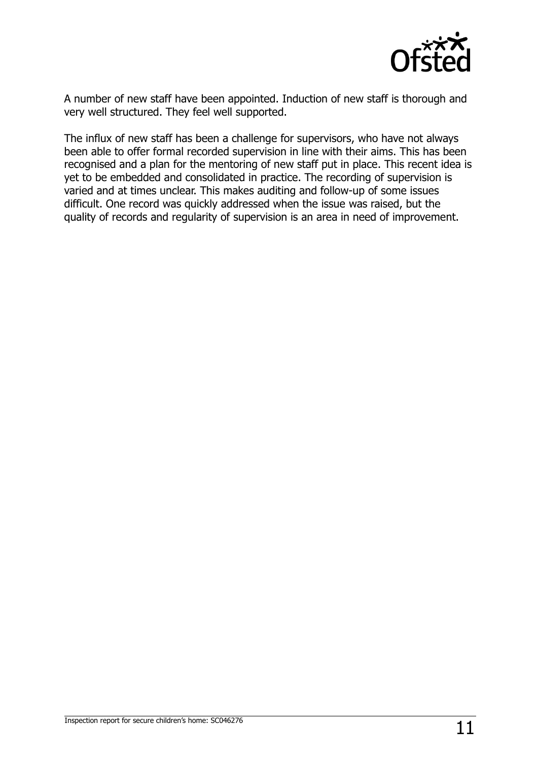

A number of new staff have been appointed. Induction of new staff is thorough and very well structured. They feel well supported.

The influx of new staff has been a challenge for supervisors, who have not always been able to offer formal recorded supervision in line with their aims. This has been recognised and a plan for the mentoring of new staff put in place. This recent idea is yet to be embedded and consolidated in practice. The recording of supervision is varied and at times unclear. This makes auditing and follow-up of some issues difficult. One record was quickly addressed when the issue was raised, but the quality of records and regularity of supervision is an area in need of improvement.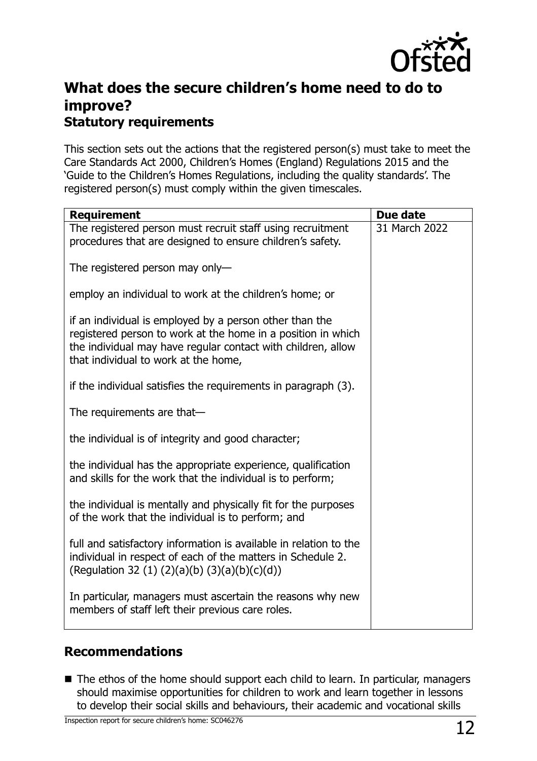

## **What does the secure children's home need to do to improve? Statutory requirements**

This section sets out the actions that the registered person(s) must take to meet the Care Standards Act 2000, Children's Homes (England) Regulations 2015 and the 'Guide to the Children's Homes Regulations, including the quality standards'. The registered person(s) must comply within the given timescales.

| <b>Requirement</b>                                                                                                                                                                                                              | Due date      |
|---------------------------------------------------------------------------------------------------------------------------------------------------------------------------------------------------------------------------------|---------------|
| The registered person must recruit staff using recruitment<br>procedures that are designed to ensure children's safety.                                                                                                         | 31 March 2022 |
| The registered person may only-                                                                                                                                                                                                 |               |
| employ an individual to work at the children's home; or                                                                                                                                                                         |               |
| if an individual is employed by a person other than the<br>registered person to work at the home in a position in which<br>the individual may have regular contact with children, allow<br>that individual to work at the home, |               |
| if the individual satisfies the requirements in paragraph (3).                                                                                                                                                                  |               |
| The requirements are that-                                                                                                                                                                                                      |               |
| the individual is of integrity and good character;                                                                                                                                                                              |               |
| the individual has the appropriate experience, qualification<br>and skills for the work that the individual is to perform;                                                                                                      |               |
| the individual is mentally and physically fit for the purposes<br>of the work that the individual is to perform; and                                                                                                            |               |
| full and satisfactory information is available in relation to the<br>individual in respect of each of the matters in Schedule 2.<br>(Regulation 32 (1) (2)(a)(b) (3)(a)(b)(c)(d))                                               |               |
| In particular, managers must ascertain the reasons why new<br>members of staff left their previous care roles.                                                                                                                  |               |

### **Recommendations**

■ The ethos of the home should support each child to learn. In particular, managers should maximise opportunities for children to work and learn together in lessons to develop their social skills and behaviours, their academic and vocational skills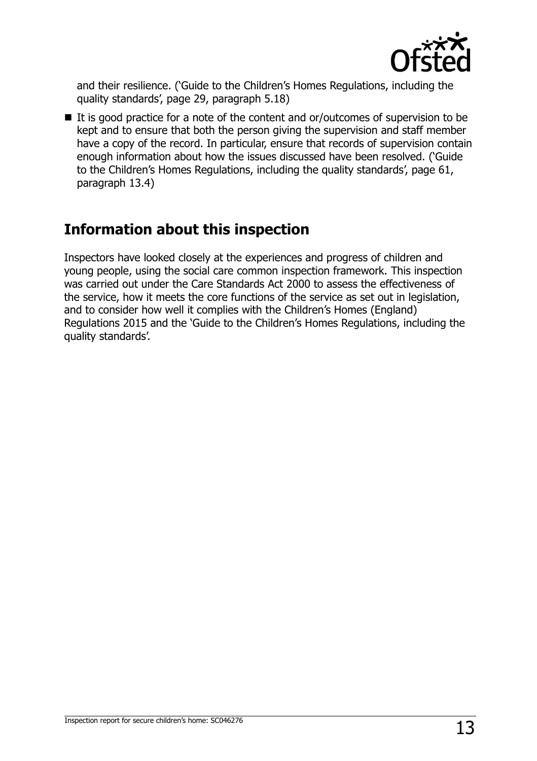

and their resilience. ('Guide to the Children's Homes Regulations, including the quality standards', page 29, paragraph 5.18)

 $\blacksquare$  It is good practice for a note of the content and or/outcomes of supervision to be kept and to ensure that both the person giving the supervision and staff member have a copy of the record. In particular, ensure that records of supervision contain enough information about how the issues discussed have been resolved. ('Guide to the Children's Homes Regulations, including the quality standards', page 61, paragraph 13.4)

## **Information about this inspection**

Inspectors have looked closely at the experiences and progress of children and young people, using the social care common inspection framework. This inspection was carried out under the Care Standards Act 2000 to assess the effectiveness of the service, how it meets the core functions of the service as set out in legislation, and to consider how well it complies with the Children's Homes (England) Regulations 2015 and the 'Guide to the Children's Homes Regulations, including the quality standards'.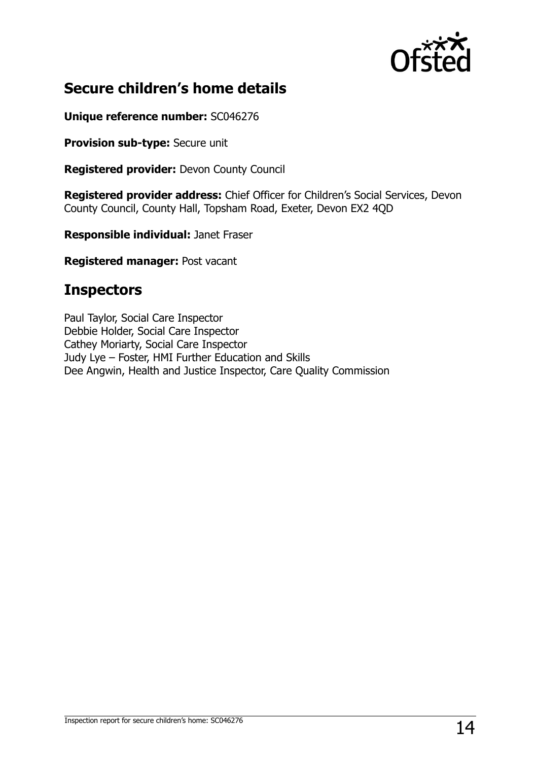

## **Secure children's home details**

**Unique reference number:** SC046276

**Provision sub-type:** Secure unit

**Registered provider:** Devon County Council

**Registered provider address:** Chief Officer for Children's Social Services, Devon County Council, County Hall, Topsham Road, Exeter, Devon EX2 4QD

**Responsible individual:** Janet Fraser

**Registered manager:** Post vacant

## **Inspectors**

Paul Taylor, Social Care Inspector Debbie Holder, Social Care Inspector Cathey Moriarty, Social Care Inspector Judy Lye – Foster, HMI Further Education and Skills Dee Angwin, Health and Justice Inspector, Care Quality Commission